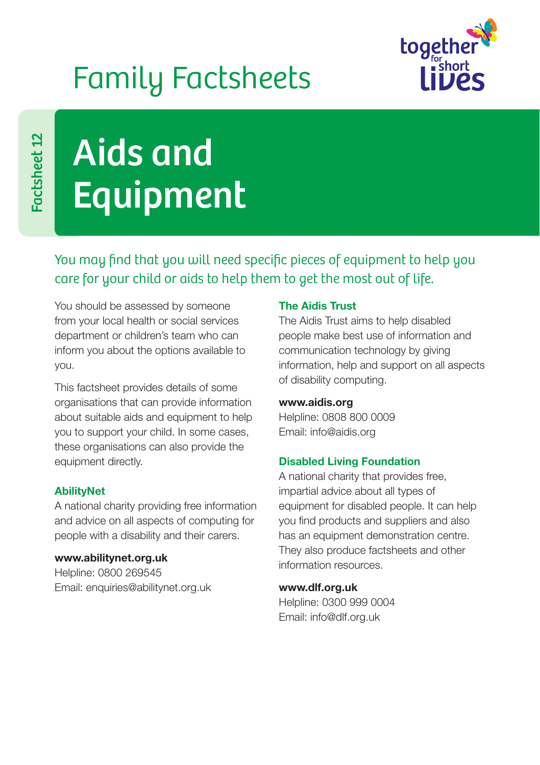# Family Factsheets



Factsheet 12 Factsheet 12

# Aids and Equipment

You may find that you will need specific pieces of equipment to help you care for your child or aids to help them to get the most out of life.

You should be assessed by someone from your local health or social services department or children's team who can inform you about the options available to you.

This factsheet provides details of some organisations that can provide information about suitable aids and equipment to help you to support your child. In some cases, these organisations can also provide the equipment directly.

# **AbilityNet**

A national charity providing free information and advice on all aspects of computing for people with a disability and their carers.

www.abilitynet.org.uk Helpline: 0800 269545 Email: enquiries@abilitynet.org.uk

# The Aidis Trust

The Aidis Trust aims to help disabled people make best use of information and communication technology by giving information, help and support on all aspects of disability computing.

# www.aidis.org

Helpline: 0808 800 0009 Email: info@aidis.org

# Disabled Living Foundation

A national charity that provides free, impartial advice about all types of equipment for disabled people. It can help you find products and suppliers and also has an equipment demonstration centre. They also produce factsheets and other information resources.

# www.dlf.org.uk

Helpline: 0300 999 0004 Email: info@dlf.org.uk